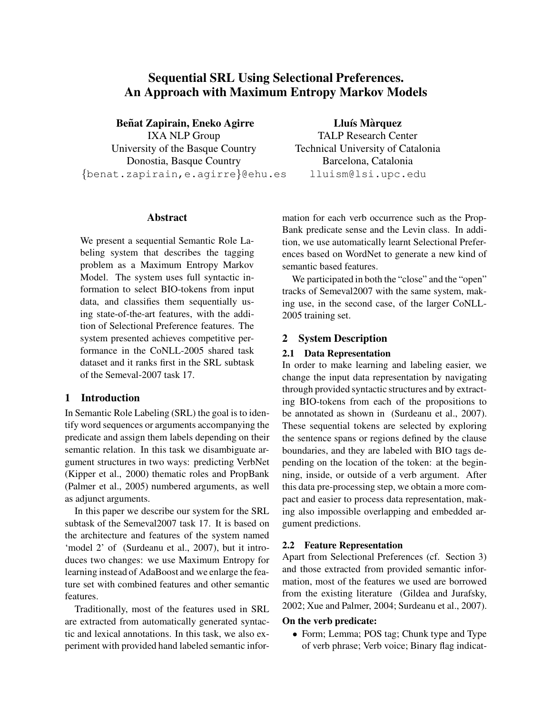# Sequential SRL Using Selectional Preferences. An Approach with Maximum Entropy Markov Models

Beñat Zapirain, Eneko Agirre IXA NLP Group University of the Basque Country Donostia, Basque Country {benat.zapirain,e.agirre}@ehu.es

Lluís Màrquez TALP Research Center Technical University of Catalonia Barcelona, Catalonia lluism@lsi.upc.edu

## Abstract

We present a sequential Semantic Role Labeling system that describes the tagging problem as a Maximum Entropy Markov Model. The system uses full syntactic information to select BIO-tokens from input data, and classifies them sequentially using state-of-the-art features, with the addition of Selectional Preference features. The system presented achieves competitive performance in the CoNLL-2005 shared task dataset and it ranks first in the SRL subtask of the Semeval-2007 task 17.

# 1 Introduction

In Semantic Role Labeling (SRL) the goal is to identify word sequences or arguments accompanying the predicate and assign them labels depending on their semantic relation. In this task we disambiguate argument structures in two ways: predicting VerbNet (Kipper et al., 2000) thematic roles and PropBank (Palmer et al., 2005) numbered arguments, as well as adjunct arguments.

In this paper we describe our system for the SRL subtask of the Semeval2007 task 17. It is based on the architecture and features of the system named 'model 2' of (Surdeanu et al., 2007), but it introduces two changes: we use Maximum Entropy for learning instead of AdaBoost and we enlarge the feature set with combined features and other semantic features.

Traditionally, most of the features used in SRL are extracted from automatically generated syntactic and lexical annotations. In this task, we also experiment with provided hand labeled semantic information for each verb occurrence such as the Prop-Bank predicate sense and the Levin class. In addition, we use automatically learnt Selectional Preferences based on WordNet to generate a new kind of semantic based features.

We participated in both the "close" and the "open" tracks of Semeval2007 with the same system, making use, in the second case, of the larger CoNLL-2005 training set.

# 2 System Description

#### 2.1 Data Representation

In order to make learning and labeling easier, we change the input data representation by navigating through provided syntactic structures and by extracting BIO-tokens from each of the propositions to be annotated as shown in (Surdeanu et al., 2007). These sequential tokens are selected by exploring the sentence spans or regions defined by the clause boundaries, and they are labeled with BIO tags depending on the location of the token: at the beginning, inside, or outside of a verb argument. After this data pre-processing step, we obtain a more compact and easier to process data representation, making also impossible overlapping and embedded argument predictions.

### 2.2 Feature Representation

Apart from Selectional Preferences (cf. Section 3) and those extracted from provided semantic information, most of the features we used are borrowed from the existing literature (Gildea and Jurafsky, 2002; Xue and Palmer, 2004; Surdeanu et al., 2007).

#### On the verb predicate:

• Form; Lemma; POS tag; Chunk type and Type of verb phrase; Verb voice; Binary flag indicat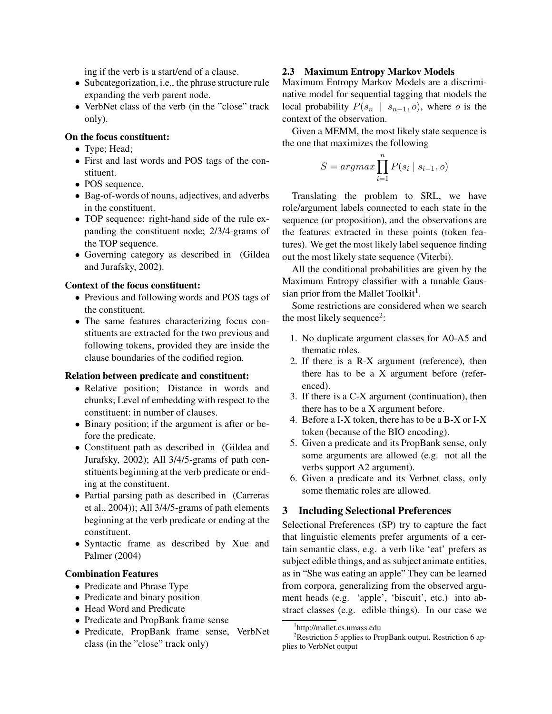ing if the verb is a start/end of a clause.

- Subcategorization, i.e., the phrase structure rule expanding the verb parent node.
- VerbNet class of the verb (in the "close" track only).

### On the focus constituent:

- Type; Head;
- First and last words and POS tags of the constituent.
- POS sequence.
- Bag-of-words of nouns, adjectives, and adverbs in the constituent.
- TOP sequence: right-hand side of the rule expanding the constituent node; 2/3/4-grams of the TOP sequence.
- Governing category as described in (Gildea and Jurafsky, 2002).

#### Context of the focus constituent:

- Previous and following words and POS tags of the constituent.
- The same features characterizing focus constituents are extracted for the two previous and following tokens, provided they are inside the clause boundaries of the codified region.

#### Relation between predicate and constituent:

- Relative position; Distance in words and chunks; Level of embedding with respect to the constituent: in number of clauses.
- Binary position; if the argument is after or before the predicate.
- Constituent path as described in (Gildea and Jurafsky, 2002); All 3/4/5-grams of path constituents beginning at the verb predicate or ending at the constituent.
- Partial parsing path as described in (Carreras et al., 2004)); All 3/4/5-grams of path elements beginning at the verb predicate or ending at the constituent.
- Syntactic frame as described by Xue and Palmer (2004)

#### Combination Features

- Predicate and Phrase Type
- Predicate and binary position
- Head Word and Predicate
- Predicate and PropBank frame sense
- Predicate, PropBank frame sense, VerbNet class (in the "close" track only)

#### 2.3 Maximum Entropy Markov Models

Maximum Entropy Markov Models are a discriminative model for sequential tagging that models the local probability  $P(s_n | s_{n-1}, o)$ , where o is the context of the observation.

Given a MEMM, the most likely state sequence is the one that maximizes the following

$$
S = argmax \prod_{i=1}^{n} P(s_i \mid s_{i-1}, o)
$$

Translating the problem to SRL, we have role/argument labels connected to each state in the sequence (or proposition), and the observations are the features extracted in these points (token features). We get the most likely label sequence finding out the most likely state sequence (Viterbi).

All the conditional probabilities are given by the Maximum Entropy classifier with a tunable Gaussian prior from the Mallet Toolkit<sup>1</sup>.

Some restrictions are considered when we search the most likely sequence<sup>2</sup>:

- 1. No duplicate argument classes for A0-A5 and thematic roles.
- 2. If there is a R-X argument (reference), then there has to be a X argument before (referenced).
- 3. If there is a C-X argument (continuation), then there has to be a X argument before.
- 4. Before a I-X token, there has to be a B-X or I-X token (because of the BIO encoding).
- 5. Given a predicate and its PropBank sense, only some arguments are allowed (e.g. not all the verbs support A2 argument).
- 6. Given a predicate and its Verbnet class, only some thematic roles are allowed.

# 3 Including Selectional Preferences

Selectional Preferences (SP) try to capture the fact that linguistic elements prefer arguments of a certain semantic class, e.g. a verb like 'eat' prefers as subject edible things, and as subject animate entities, as in "She was eating an apple" They can be learned from corpora, generalizing from the observed argument heads (e.g. 'apple', 'biscuit', etc.) into abstract classes (e.g. edible things). In our case we

<sup>1</sup> http://mallet.cs.umass.edu

<sup>&</sup>lt;sup>2</sup>Restriction 5 applies to PropBank output. Restriction 6 applies to VerbNet output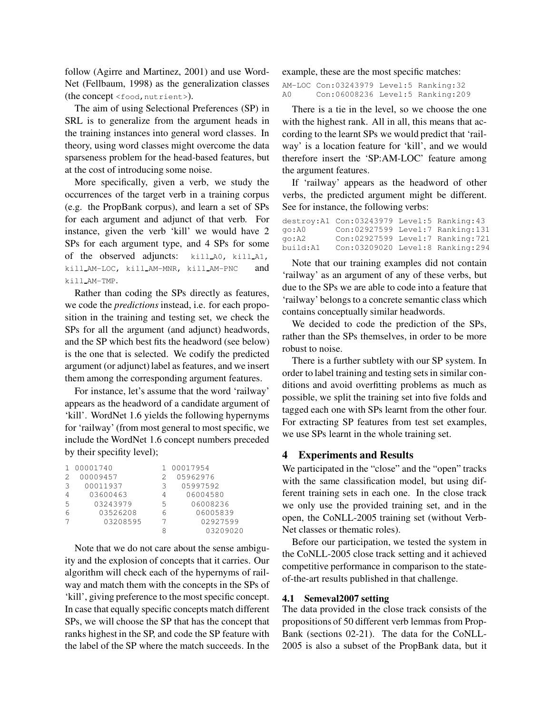follow (Agirre and Martinez, 2001) and use Word-Net (Fellbaum, 1998) as the generalization classes (the concept <food, nutrient>).

The aim of using Selectional Preferences (SP) in SRL is to generalize from the argument heads in the training instances into general word classes. In theory, using word classes might overcome the data sparseness problem for the head-based features, but at the cost of introducing some noise.

More specifically, given a verb, we study the occurrences of the target verb in a training corpus (e.g. the PropBank corpus), and learn a set of SPs for each argument and adjunct of that verb. For instance, given the verb 'kill' we would have 2 SPs for each argument type, and 4 SPs for some of the observed adjuncts: kill A0, kill A1, kill AM-LOC, kill AM-MNR, kill AM-PNC and kill AM-TMP.

Rather than coding the SPs directly as features, we code the predictions instead, i.e. for each proposition in the training and testing set, we check the SPs for all the argument (and adjunct) headwords, and the SP which best fits the headword (see below) is the one that is selected. We codify the predicted argument (or adjunct) label as features, and we insert them among the corresponding argument features.

For instance, let's assume that the word 'railway' appears as the headword of a candidate argument of 'kill'. WordNet 1.6 yields the following hypernyms for 'railway' (from most general to most specific, we include the WordNet 1.6 concept numbers preceded by their specifity level);

|   | 00001740 |   | 00017954 |
|---|----------|---|----------|
| 2 | 00009457 |   | 05962976 |
| З | 00011937 | 3 | 05997592 |
| 4 | 03600463 | 4 | 06004580 |
| 5 | 03243979 | 5 | 06008236 |
| 6 | 03526208 |   | 06005839 |
|   | 03208595 |   | 02927599 |
|   |          |   | 03209020 |

Note that we do not care about the sense ambiguity and the explosion of concepts that it carries. Our algorithm will check each of the hypernyms of railway and match them with the concepts in the SPs of 'kill', giving preference to the most specific concept. In case that equally specific concepts match different SPs, we will choose the SP that has the concept that ranks highest in the SP, and code the SP feature with the label of the SP where the match succeeds. In the

example, these are the most specific matches:

AM-LOC Con:03243979 Level:5 Ranking:32 A0 Con:06008236 Level:5 Ranking:209

There is a tie in the level, so we choose the one with the highest rank. All in all, this means that according to the learnt SPs we would predict that 'railway' is a location feature for 'kill', and we would therefore insert the 'SP:AM-LOC' feature among the argument features.

If 'railway' appears as the headword of other verbs, the predicted argument might be different. See for instance, the following verbs:

|                | destroy: A1 Con: 03243979 Level: 5 Ranking: 43 |  |
|----------------|------------------------------------------------|--|
| qo:A0          | Con:02927599 Level:7 Ranking:131               |  |
| qo <b>:</b> A2 | Con:02927599 Level:7 Ranking:721               |  |
| build:A1       | Con:03209020 Level:8 Ranking:294               |  |

Note that our training examples did not contain 'railway' as an argument of any of these verbs, but due to the SPs we are able to code into a feature that 'railway' belongs to a concrete semantic class which contains conceptually similar headwords.

We decided to code the prediction of the SPs, rather than the SPs themselves, in order to be more robust to noise.

There is a further subtlety with our SP system. In order to label training and testing sets in similar conditions and avoid overfitting problems as much as possible, we split the training set into five folds and tagged each one with SPs learnt from the other four. For extracting SP features from test set examples, we use SPs learnt in the whole training set.

#### 4 Experiments and Results

We participated in the "close" and the "open" tracks with the same classification model, but using different training sets in each one. In the close track we only use the provided training set, and in the open, the CoNLL-2005 training set (without Verb-Net classes or thematic roles).

Before our participation, we tested the system in the CoNLL-2005 close track setting and it achieved competitive performance in comparison to the stateof-the-art results published in that challenge.

#### 4.1 Semeval2007 setting

The data provided in the close track consists of the propositions of 50 different verb lemmas from Prop-Bank (sections 02-21). The data for the CoNLL-2005 is also a subset of the PropBank data, but it